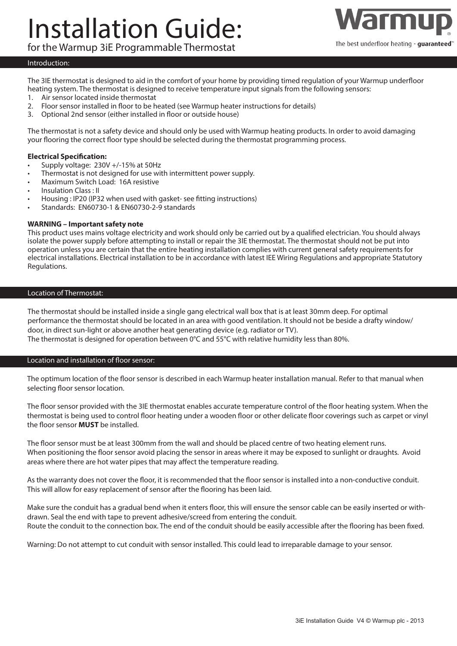# Installation Guide:



for the Warmup 3iE Programmable Thermostat

# Introduction:

The 3IE thermostat is designed to aid in the comfort of your home by providing timed regulation of your Warmup underfloor heating system. The thermostat is designed to receive temperature input signals from the following sensors:

- 1. Air sensor located inside thermostat
- 2. Floor sensor installed in floor to be heated (see Warmup heater instructions for details)
- 3. Optional 2nd sensor (either installed in floor or outside house)

The thermostat is not a safety device and should only be used with Warmup heating products. In order to avoid damaging your flooring the correct floor type should be selected during the thermostat programming process.

# **Electrical Specification:**

- Supply voltage: 230V +/-15% at 50Hz
- Thermostat is not designed for use with intermittent power supply.
- Maximum Switch Load: 16A resistive
- Insulation Class : II
- Housing : IP20 (IP32 when used with gasket- see fitting instructions)
- Standards: EN60730-1 & EN60730-2-9 standards

#### **WARNING – Important safety note**

This product uses mains voltage electricity and work should only be carried out by a qualified electrician. You should always isolate the power supply before attempting to install or repair the 3IE thermostat. The thermostat should not be put into operation unless you are certain that the entire heating installation complies with current general safety requirements for electrical installations. Electrical installation to be in accordance with latest IEE Wiring Regulations and appropriate Statutory Regulations.

#### Location of Thermostat:

The thermostat should be installed inside a single gang electrical wall box that is at least 30mm deep. For optimal performance the thermostat should be located in an area with good ventilation. It should not be beside a drafty window/ door, in direct sun-light or above another heat generating device (e.g. radiator or TV). The thermostat is designed for operation between 0°C and 55°C with relative humidity less than 80%.

Location and installation of floor sensor:

The optimum location of the floor sensor is described in each Warmup heater installation manual. Refer to that manual when selecting floor sensor location.

The floor sensor provided with the 3IE thermostat enables accurate temperature control of the floor heating system. When the thermostat is being used to control floor heating under a wooden floor or other delicate floor coverings such as carpet or vinyl the floor sensor **MUST** be installed.

The floor sensor must be at least 300mm from the wall and should be placed centre of two heating element runs. When positioning the floor sensor avoid placing the sensor in areas where it may be exposed to sunlight or draughts. Avoid areas where there are hot water pipes that may affect the temperature reading.

As the warranty does not cover the floor, it is recommended that the floor sensor is installed into a non-conductive conduit. This will allow for easy replacement of sensor after the flooring has been laid.

Make sure the conduit has a gradual bend when it enters floor, this will ensure the sensor cable can be easily inserted or withdrawn. Seal the end with tape to prevent adhesive/screed from entering the conduit. Route the conduit to the connection box. The end of the conduit should be easily accessible after the flooring has been fixed.

Warning: Do not attempt to cut conduit with sensor installed. This could lead to irreparable damage to your sensor.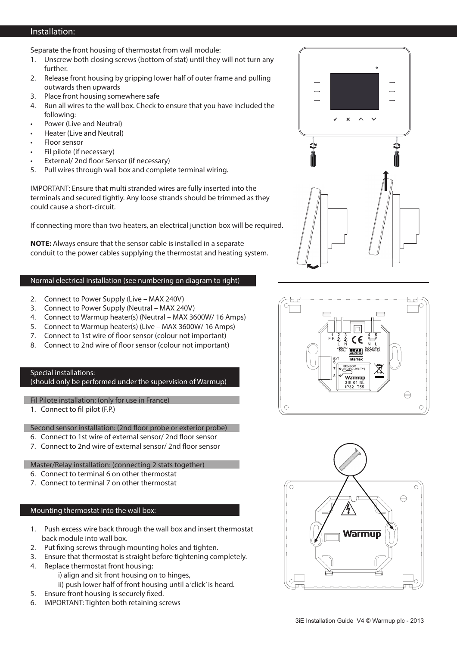# Installation:

Separate the front housing of thermostat from wall module:

- 1. Unscrew both closing screws (bottom of stat) until they will not turn any further.
- 2. Release front housing by gripping lower half of outer frame and pulling outwards then upwards
- 3. Place front housing somewhere safe
- 4. Run all wires to the wall box. Check to ensure that you have included the following:
- Power (Live and Neutral)
- Heater (Live and Neutral)
- Floor sensor
- Fil pilote (if necessary)
- External/ 2nd floor Sensor (if necessary)
- 5. Pull wires through wall box and complete terminal wiring.

IMPORTANT: Ensure that multi stranded wires are fully inserted into the terminals and secured tightly. Any loose strands should be trimmed as they could cause a short-circuit.

If connecting more than two heaters, an electrical junction box will be required.

**NOTE:** Always ensure that the sensor cable is installed in a separate conduit to the power cables supplying the thermostat and heating system.

## Normal electrical installation (see numbering on diagram to right)

- 2. Connect to Power Supply (Live MAX 240V)
- 3. Connect to Power Supply (Neutral MAX 240V)
- 4. Connect to Warmup heater(s) (Neutral MAX 3600W/ 16 Amps)
- 5. Connect to Warmup heater(s) (Live MAX 3600W/ 16 Amps)
- 7. Connect to 1st wire of floor sensor (colour not important)
- 8. Connect to 2nd wire of floor sensor (colour not important)

# Special installations:

(should only be performed under the supervision of Warmup)

Fil Pilote installation: (only for use in France)

1. Connect to fil pilot (F.P.)

Second sensor installation: (2nd floor probe or exterior probe)

- 6. Connect to 1st wire of external sensor/ 2nd floor sensor
- 7. Connect to 2nd wire of external sensor/ 2nd floor sensor

Master/Relay installation: (connecting 2 stats together)

- 6. Connect to terminal 6 on other thermostat
- 7. Connect to terminal 7 on other thermostat

# Mounting thermostat into the wall box:

- 1. Push excess wire back through the wall box and insert thermostat back module into wall box.
- 2. Put fixing screws through mounting holes and tighten.
- 3. Ensure that thermostat is straight before tightening completely.
- 4. Replace thermostat front housing;
	- i) align and sit front housing on to hinges,
	- ii) push lower half of front housing until a 'click' is heard.
- 5. Ensure front housing is securely fixed.
- 6. IMPORTANT: Tighten both retaining screws





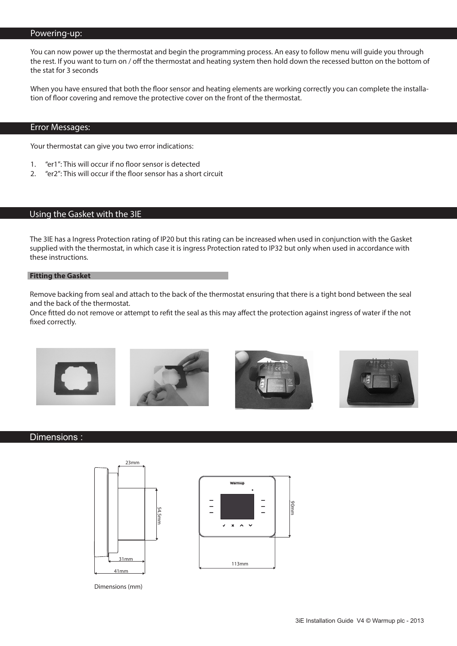#### Powering-up:

You can now power up the thermostat and begin the programming process. An easy to follow menu will guide you through the rest. If you want to turn on / off the thermostat and heating system then hold down the recessed button on the bottom of the stat for 3 seconds

When you have ensured that both the floor sensor and heating elements are working correctly you can complete the installation of floor covering and remove the protective cover on the front of the thermostat.

## Error Messages:

Your thermostat can give you two error indications:

- 1. "er1": This will occur if no floor sensor is detected
- 2. "er2": This will occur if the floor sensor has a short circuit

# Using the Gasket with the 3IE

The 3IE has a Ingress Protection rating of IP20 but this rating can be increased when used in conjunction with the Gasket supplied with the thermostat, in which case it is ingress Protection rated to IP32 but only when used in accordance with these instructions.

#### **Fitting the Gasket**

Remove backing from seal and attach to the back of the thermostat ensuring that there is a tight bond between the seal and the back of the thermostat.

Once fitted do not remove or attempt to refit the seal as this may affect the protection against ingress of water if the not fixed correctly.









### Dimensions :





Dimensions (mm)